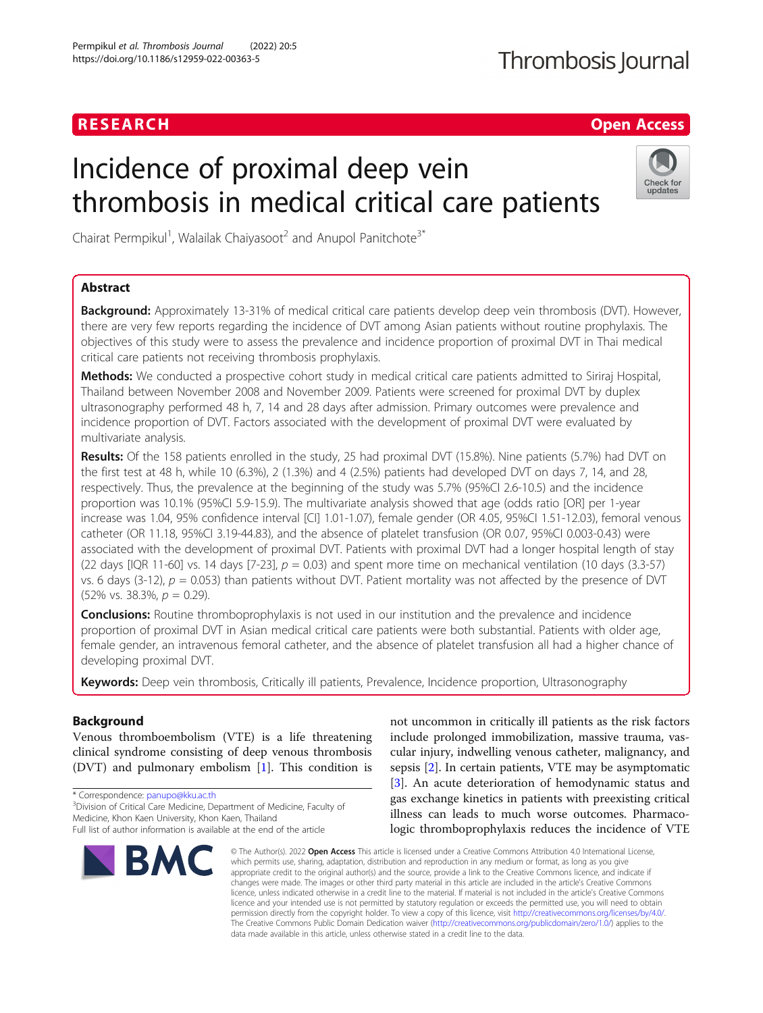## RESEARCH **RESEARCH CHANNEL EXECUTE ACCESS**

# Incidence of proximal deep vein thrombosis in medical critical care patients



Chairat Permpikul<sup>1</sup>, Walailak Chaiyasoot<sup>2</sup> and Anupol Panitchote<sup>3\*</sup>

## Abstract

**Background:** Approximately 13-31% of medical critical care patients develop deep vein thrombosis (DVT). However, there are very few reports regarding the incidence of DVT among Asian patients without routine prophylaxis. The objectives of this study were to assess the prevalence and incidence proportion of proximal DVT in Thai medical critical care patients not receiving thrombosis prophylaxis.

Methods: We conducted a prospective cohort study in medical critical care patients admitted to Siriraj Hospital, Thailand between November 2008 and November 2009. Patients were screened for proximal DVT by duplex ultrasonography performed 48 h, 7, 14 and 28 days after admission. Primary outcomes were prevalence and incidence proportion of DVT. Factors associated with the development of proximal DVT were evaluated by multivariate analysis.

Results: Of the 158 patients enrolled in the study, 25 had proximal DVT (15.8%). Nine patients (5.7%) had DVT on the first test at 48 h, while 10 (6.3%), 2 (1.3%) and 4 (2.5%) patients had developed DVT on days 7, 14, and 28, respectively. Thus, the prevalence at the beginning of the study was 5.7% (95%CI 2.6-10.5) and the incidence proportion was 10.1% (95%CI 5.9-15.9). The multivariate analysis showed that age (odds ratio [OR] per 1-year increase was 1.04, 95% confidence interval [CI] 1.01-1.07), female gender (OR 4.05, 95%CI 1.51-12.03), femoral venous catheter (OR 11.18, 95%CI 3.19-44.83), and the absence of platelet transfusion (OR 0.07, 95%CI 0.003-0.43) were associated with the development of proximal DVT. Patients with proximal DVT had a longer hospital length of stay (22 days [IQR 11-60] vs. 14 days [7-23],  $p = 0.03$ ) and spent more time on mechanical ventilation (10 days (3.3-57) vs. 6 days (3-12),  $p = 0.053$ ) than patients without DVT. Patient mortality was not affected by the presence of DVT  $(52\% \text{ vs. } 38.3\%, p = 0.29).$ 

**Conclusions:** Routine thromboprophylaxis is not used in our institution and the prevalence and incidence proportion of proximal DVT in Asian medical critical care patients were both substantial. Patients with older age, female gender, an intravenous femoral catheter, and the absence of platelet transfusion all had a higher chance of developing proximal DVT.

Keywords: Deep vein thrombosis, Critically ill patients, Prevalence, Incidence proportion, Ultrasonography

## Background

Venous thromboembolism (VTE) is a life threatening clinical syndrome consisting of deep venous thrombosis (DVT) and pulmonary embolism [[1](#page-5-0)]. This condition is

\* Correspondence: [panupo@kku.ac.th](mailto:panupo@kku.ac.th) <sup>3</sup>

<sup>3</sup>Division of Critical Care Medicine, Department of Medicine, Faculty of Medicine, Khon Kaen University, Khon Kaen, Thailand Full list of author information is available at the end of the article



not uncommon in critically ill patients as the risk factors include prolonged immobilization, massive trauma, vascular injury, indwelling venous catheter, malignancy, and sepsis [\[2](#page-5-0)]. In certain patients, VTE may be asymptomatic [[3\]](#page-5-0). An acute deterioration of hemodynamic status and gas exchange kinetics in patients with preexisting critical illness can leads to much worse outcomes. Pharmacologic thromboprophylaxis reduces the incidence of VTE

© The Author(s), 2022 **Open Access** This article is licensed under a Creative Commons Attribution 4.0 International License, which permits use, sharing, adaptation, distribution and reproduction in any medium or format, as long as you give appropriate credit to the original author(s) and the source, provide a link to the Creative Commons licence, and indicate if changes were made. The images or other third party material in this article are included in the article's Creative Commons licence, unless indicated otherwise in a credit line to the material. If material is not included in the article's Creative Commons licence and your intended use is not permitted by statutory regulation or exceeds the permitted use, you will need to obtain permission directly from the copyright holder. To view a copy of this licence, visit [http://creativecommons.org/licenses/by/4.0/.](http://creativecommons.org/licenses/by/4.0/) The Creative Commons Public Domain Dedication waiver [\(http://creativecommons.org/publicdomain/zero/1.0/](http://creativecommons.org/publicdomain/zero/1.0/)) applies to the data made available in this article, unless otherwise stated in a credit line to the data.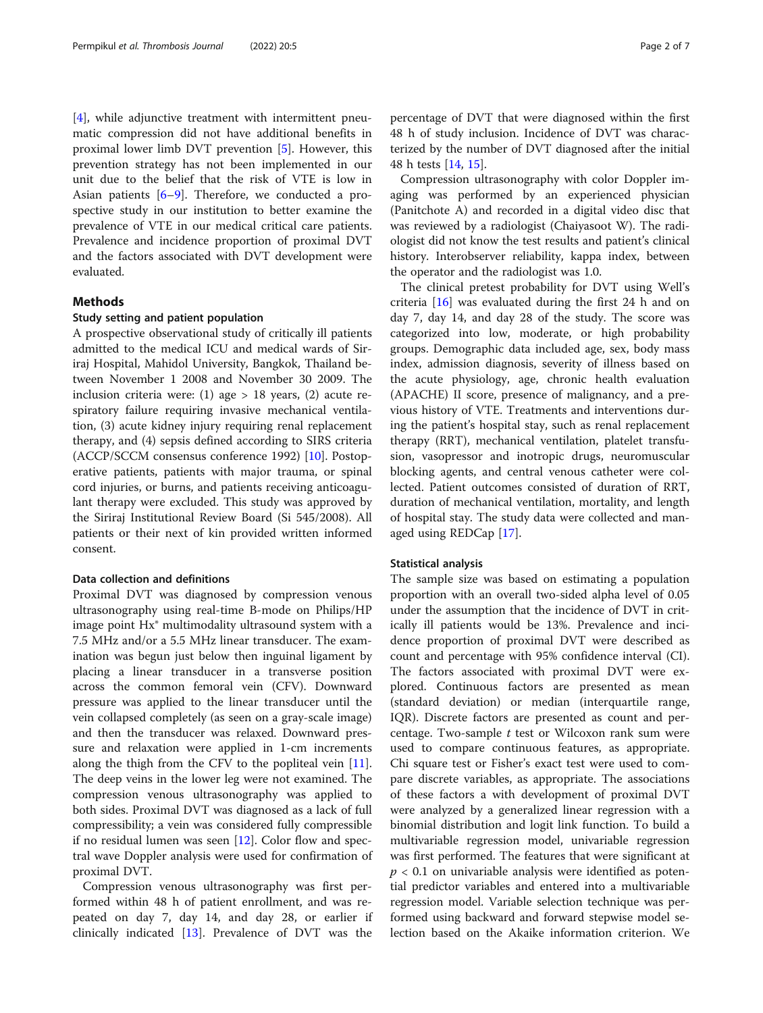[[4\]](#page-5-0), while adjunctive treatment with intermittent pneumatic compression did not have additional benefits in proximal lower limb DVT prevention [[5\]](#page-5-0). However, this prevention strategy has not been implemented in our unit due to the belief that the risk of VTE is low in Asian patients [\[6](#page-5-0)–[9](#page-5-0)]. Therefore, we conducted a prospective study in our institution to better examine the prevalence of VTE in our medical critical care patients. Prevalence and incidence proportion of proximal DVT and the factors associated with DVT development were evaluated.

## Methods

#### Study setting and patient population

A prospective observational study of critically ill patients admitted to the medical ICU and medical wards of Siriraj Hospital, Mahidol University, Bangkok, Thailand between November 1 2008 and November 30 2009. The inclusion criteria were: (1) age  $> 18$  years, (2) acute respiratory failure requiring invasive mechanical ventilation, (3) acute kidney injury requiring renal replacement therapy, and (4) sepsis defined according to SIRS criteria (ACCP/SCCM consensus conference 1992) [[10\]](#page-5-0). Postoperative patients, patients with major trauma, or spinal cord injuries, or burns, and patients receiving anticoagulant therapy were excluded. This study was approved by the Siriraj Institutional Review Board (Si 545/2008). All patients or their next of kin provided written informed consent.

## Data collection and definitions

Proximal DVT was diagnosed by compression venous ultrasonography using real-time B-mode on Philips/HP image point Hx® multimodality ultrasound system with a 7.5 MHz and/or a 5.5 MHz linear transducer. The examination was begun just below then inguinal ligament by placing a linear transducer in a transverse position across the common femoral vein (CFV). Downward pressure was applied to the linear transducer until the vein collapsed completely (as seen on a gray-scale image) and then the transducer was relaxed. Downward pressure and relaxation were applied in 1-cm increments along the thigh from the CFV to the popliteal vein [\[11](#page-5-0)]. The deep veins in the lower leg were not examined. The compression venous ultrasonography was applied to both sides. Proximal DVT was diagnosed as a lack of full compressibility; a vein was considered fully compressible if no residual lumen was seen [[12\]](#page-5-0). Color flow and spectral wave Doppler analysis were used for confirmation of proximal DVT.

Compression venous ultrasonography was first performed within 48 h of patient enrollment, and was repeated on day 7, day 14, and day 28, or earlier if clinically indicated [\[13\]](#page-5-0). Prevalence of DVT was the percentage of DVT that were diagnosed within the first 48 h of study inclusion. Incidence of DVT was characterized by the number of DVT diagnosed after the initial 48 h tests [\[14,](#page-5-0) [15\]](#page-5-0).

Compression ultrasonography with color Doppler imaging was performed by an experienced physician (Panitchote A) and recorded in a digital video disc that was reviewed by a radiologist (Chaiyasoot W). The radiologist did not know the test results and patient's clinical history. Interobserver reliability, kappa index, between the operator and the radiologist was 1.0.

The clinical pretest probability for DVT using Well's criteria [[16](#page-6-0)] was evaluated during the first 24 h and on day 7, day 14, and day 28 of the study. The score was categorized into low, moderate, or high probability groups. Demographic data included age, sex, body mass index, admission diagnosis, severity of illness based on the acute physiology, age, chronic health evaluation (APACHE) II score, presence of malignancy, and a previous history of VTE. Treatments and interventions during the patient's hospital stay, such as renal replacement therapy (RRT), mechanical ventilation, platelet transfusion, vasopressor and inotropic drugs, neuromuscular blocking agents, and central venous catheter were collected. Patient outcomes consisted of duration of RRT, duration of mechanical ventilation, mortality, and length of hospital stay. The study data were collected and managed using REDCap [\[17](#page-6-0)].

#### Statistical analysis

The sample size was based on estimating a population proportion with an overall two-sided alpha level of 0.05 under the assumption that the incidence of DVT in critically ill patients would be 13%. Prevalence and incidence proportion of proximal DVT were described as count and percentage with 95% confidence interval (CI). The factors associated with proximal DVT were explored. Continuous factors are presented as mean (standard deviation) or median (interquartile range, IQR). Discrete factors are presented as count and percentage. Two-sample  $t$  test or Wilcoxon rank sum were used to compare continuous features, as appropriate. Chi square test or Fisher's exact test were used to compare discrete variables, as appropriate. The associations of these factors a with development of proximal DVT were analyzed by a generalized linear regression with a binomial distribution and logit link function. To build a multivariable regression model, univariable regression was first performed. The features that were significant at  $p < 0.1$  on univariable analysis were identified as potential predictor variables and entered into a multivariable regression model. Variable selection technique was performed using backward and forward stepwise model selection based on the Akaike information criterion. We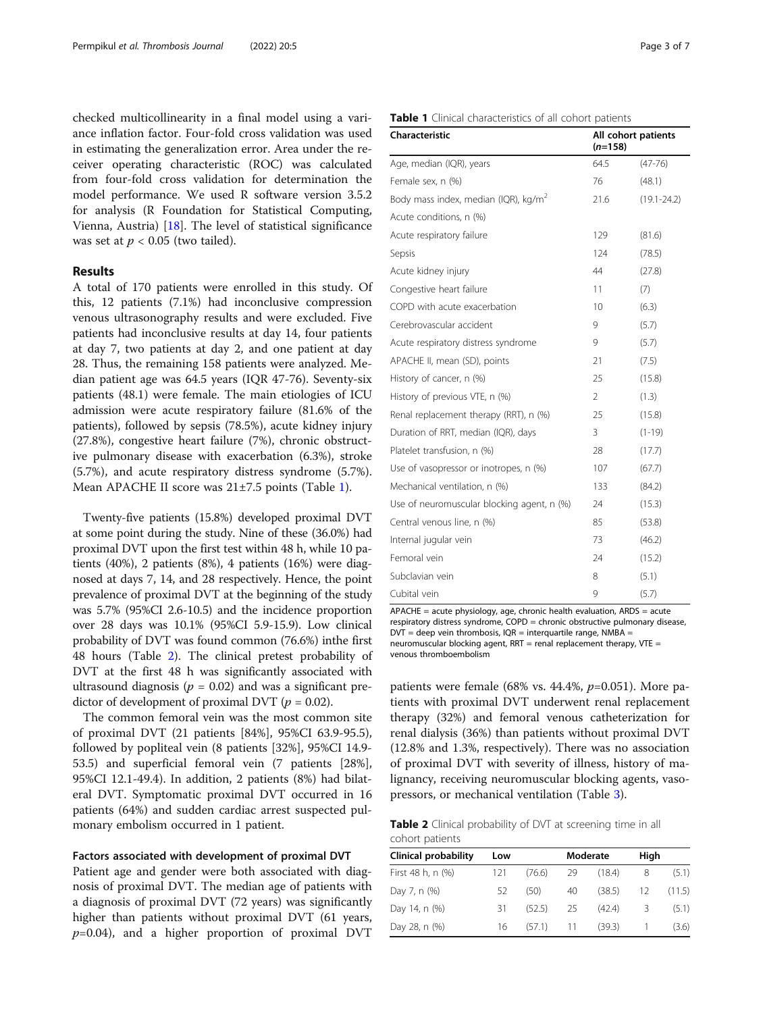checked multicollinearity in a final model using a variance inflation factor. Four-fold cross validation was used in estimating the generalization error. Area under the receiver operating characteristic (ROC) was calculated from four-fold cross validation for determination the model performance. We used R software version 3.5.2 for analysis (R Foundation for Statistical Computing, Vienna, Austria) [[18](#page-6-0)]. The level of statistical significance was set at  $p < 0.05$  (two tailed).

## Results

A total of 170 patients were enrolled in this study. Of this, 12 patients (7.1%) had inconclusive compression venous ultrasonography results and were excluded. Five patients had inconclusive results at day 14, four patients at day 7, two patients at day 2, and one patient at day 28. Thus, the remaining 158 patients were analyzed. Median patient age was 64.5 years (IQR 47-76). Seventy-six patients (48.1) were female. The main etiologies of ICU admission were acute respiratory failure (81.6% of the patients), followed by sepsis (78.5%), acute kidney injury (27.8%), congestive heart failure (7%), chronic obstructive pulmonary disease with exacerbation (6.3%), stroke (5.7%), and acute respiratory distress syndrome (5.7%). Mean APACHE II score was 21±7.5 points (Table 1).

Twenty-five patients (15.8%) developed proximal DVT at some point during the study. Nine of these (36.0%) had proximal DVT upon the first test within 48 h, while 10 patients (40%), 2 patients (8%), 4 patients (16%) were diagnosed at days 7, 14, and 28 respectively. Hence, the point prevalence of proximal DVT at the beginning of the study was 5.7% (95%CI 2.6-10.5) and the incidence proportion over 28 days was 10.1% (95%CI 5.9-15.9). Low clinical probability of DVT was found common (76.6%) inthe first 48 hours (Table 2). The clinical pretest probability of DVT at the first 48 h was significantly associated with ultrasound diagnosis ( $p = 0.02$ ) and was a significant predictor of development of proximal DVT ( $p = 0.02$ ).

The common femoral vein was the most common site of proximal DVT (21 patients [84%], 95%CI 63.9-95.5), followed by popliteal vein (8 patients [32%], 95%CI 14.9- 53.5) and superficial femoral vein (7 patients [28%], 95%CI 12.1-49.4). In addition, 2 patients (8%) had bilateral DVT. Symptomatic proximal DVT occurred in 16 patients (64%) and sudden cardiac arrest suspected pulmonary embolism occurred in 1 patient.

#### Factors associated with development of proximal DVT

Patient age and gender were both associated with diagnosis of proximal DVT. The median age of patients with a diagnosis of proximal DVT (72 years) was significantly higher than patients without proximal DVT (61 years,  $p=0.04$ ), and a higher proportion of proximal DVT

#### Table 1 Clinical characteristics of all cohort patients

| <b>Characteristic</b>                            | All cohort patients<br>$(n=158)$ |                 |  |
|--------------------------------------------------|----------------------------------|-----------------|--|
| Age, median (IQR), years                         | 64.5                             | $(47 - 76)$     |  |
| Female sex, n (%)                                | 76                               | (48.1)          |  |
| Body mass index, median (IQR), kg/m <sup>2</sup> | 21.6                             | $(19.1 - 24.2)$ |  |
| Acute conditions, n (%)                          |                                  |                 |  |
| Acute respiratory failure                        | 129                              | (81.6)          |  |
| Sepsis                                           | 124                              | (78.5)          |  |
| Acute kidney injury                              | 44                               | (27.8)          |  |
| Congestive heart failure                         | 11                               | (7)             |  |
| COPD with acute exacerbation                     | 10                               | (6.3)           |  |
| Cerebrovascular accident                         | 9                                | (5.7)           |  |
| Acute respiratory distress syndrome              | 9                                | (5.7)           |  |
| APACHE II, mean (SD), points                     | 21                               | (7.5)           |  |
| History of cancer, n (%)                         | 25                               | (15.8)          |  |
| History of previous VTE, n (%)                   | 2                                | (1.3)           |  |
| Renal replacement therapy (RRT), n (%)           | 25                               | (15.8)          |  |
| Duration of RRT, median (IQR), days              | 3                                | $(1-19)$        |  |
| Platelet transfusion, n (%)                      | 28                               | (17.7)          |  |
| Use of vasopressor or inotropes, n (%)           | 107                              | (67.7)          |  |
| Mechanical ventilation, n (%)                    | 133                              | (84.2)          |  |
| Use of neuromuscular blocking agent, n (%)       | 24                               | (15.3)          |  |
| Central venous line, n (%)                       | 85                               | (53.8)          |  |
| Internal jugular vein                            | 73                               | (46.2)          |  |
| Femoral vein                                     | 24                               | (15.2)          |  |
| Subclavian vein                                  | 8                                | (5.1)           |  |
| Cubital vein                                     | 9                                | (5.7)           |  |

APACHE = acute physiology, age, chronic health evaluation, ARDS = acute respiratory distress syndrome, COPD = chronic obstructive pulmonary disease,  $DVT =$  deep vein thrombosis,  $IOR =$  interquartile range, NMBA = neuromuscular blocking agent, RRT = renal replacement therapy, VTE = venous thromboembolism

patients were female (68% vs. 44.4%,  $p=0.051$ ). More patients with proximal DVT underwent renal replacement therapy (32%) and femoral venous catheterization for renal dialysis (36%) than patients without proximal DVT (12.8% and 1.3%, respectively). There was no association of proximal DVT with severity of illness, history of malignancy, receiving neuromuscular blocking agents, vasopressors, or mechanical ventilation (Table [3](#page-3-0)).

Table 2 Clinical probability of DVT at screening time in all cohort patients

| <b>Clinical probability</b> | Low |                     |     | Moderate |                | High   |  |
|-----------------------------|-----|---------------------|-----|----------|----------------|--------|--|
| First 48 h, n (%)           | 121 | (76.6)              | 29  | (18.4)   | 8              | (5.1)  |  |
| Day 7, n (%)                | -52 | (50)                | 40  | (38.5)   | 12             | (11.5) |  |
| Day 14, n (%)               | 31. | (52.5)              | -25 | (42.4)   | 3.             | (5.1)  |  |
| Day 28, n (%)               |     | 16 (57.1) 11 (39.3) |     |          | $\overline{1}$ | (3.6)  |  |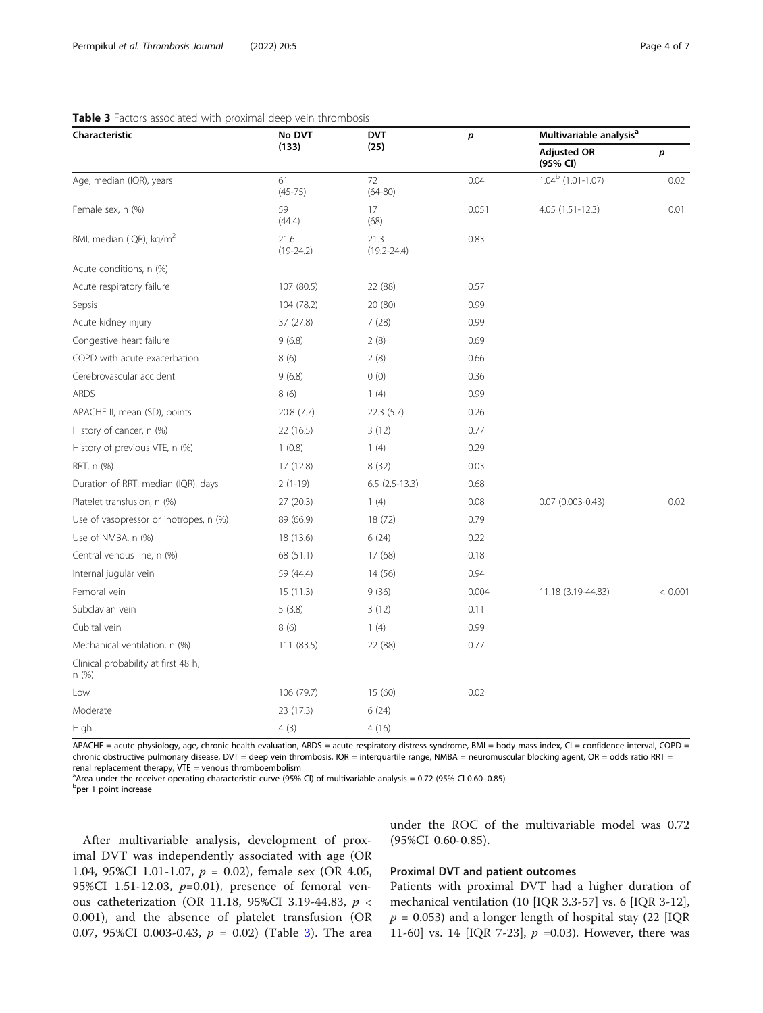<span id="page-3-0"></span>

| Characteristic                               | No DVT<br>(133)     | <b>DVT</b><br>(25)      | p     | Multivariable analysis <sup>a</sup> |         |
|----------------------------------------------|---------------------|-------------------------|-------|-------------------------------------|---------|
|                                              |                     |                         |       | <b>Adjusted OR</b><br>(95% CI)      | p       |
| Age, median (IQR), years                     | 61<br>$(45 - 75)$   | 72<br>$(64 - 80)$       | 0.04  | $1.04b$ (1.01-1.07)                 | 0.02    |
| Female sex, n (%)                            | 59<br>(44.4)        | 17<br>(68)              | 0.051 | 4.05 (1.51-12.3)                    | 0.01    |
| BMI, median (IQR), kg/m <sup>2</sup>         | 21.6<br>$(19-24.2)$ | 21.3<br>$(19.2 - 24.4)$ | 0.83  |                                     |         |
| Acute conditions, n (%)                      |                     |                         |       |                                     |         |
| Acute respiratory failure                    | 107 (80.5)          | 22 (88)                 | 0.57  |                                     |         |
| Sepsis                                       | 104 (78.2)          | 20 (80)                 | 0.99  |                                     |         |
| Acute kidney injury                          | 37 (27.8)           | 7(28)                   | 0.99  |                                     |         |
| Congestive heart failure                     | 9(6.8)              | 2(8)                    | 0.69  |                                     |         |
| COPD with acute exacerbation                 | 8(6)                | 2(8)                    | 0.66  |                                     |         |
| Cerebrovascular accident                     | 9(6.8)              | 0(0)                    | 0.36  |                                     |         |
| <b>ARDS</b>                                  | 8(6)                | 1(4)                    | 0.99  |                                     |         |
| APACHE II, mean (SD), points                 | 20.8 (7.7)          | 22.3(5.7)               | 0.26  |                                     |         |
| History of cancer, n (%)                     | 22 (16.5)           | 3(12)                   | 0.77  |                                     |         |
| History of previous VTE, n (%)               | 1(0.8)              | 1(4)                    | 0.29  |                                     |         |
| RRT, n (%)                                   | 17 (12.8)           | 8(32)                   | 0.03  |                                     |         |
| Duration of RRT, median (IQR), days          | $2(1-19)$           | $6.5(2.5-13.3)$         | 0.68  |                                     |         |
| Platelet transfusion, n (%)                  | 27(20.3)            | 1(4)                    | 0.08  | $0.07$ $(0.003 - 0.43)$             | 0.02    |
| Use of vasopressor or inotropes, n (%)       | 89 (66.9)           | 18 (72)                 | 0.79  |                                     |         |
| Use of NMBA, n (%)                           | 18 (13.6)           | 6(24)                   | 0.22  |                                     |         |
| Central venous line, n (%)                   | 68 (51.1)           | 17(68)                  | 0.18  |                                     |         |
| Internal jugular vein                        | 59 (44.4)           | 14 (56)                 | 0.94  |                                     |         |
| Femoral vein                                 | 15(11.3)            | 9(36)                   | 0.004 | 11.18 (3.19-44.83)                  | < 0.001 |
| Subclavian vein                              | 5(3.8)              | 3(12)                   | 0.11  |                                     |         |
| Cubital vein                                 | 8(6)                | 1(4)                    | 0.99  |                                     |         |
| Mechanical ventilation, n (%)                | 111(83.5)           | 22 (88)                 | 0.77  |                                     |         |
| Clinical probability at first 48 h,<br>n (%) |                     |                         |       |                                     |         |
| Low                                          | 106 (79.7)          | 15(60)                  | 0.02  |                                     |         |
| Moderate                                     | 23 (17.3)           | 6(24)                   |       |                                     |         |
| High                                         | 4(3)                | 4(16)                   |       |                                     |         |

acute physiology, age, chronic health evaluation, ARDS = acute respiratory distress syndrome, BMI = chronic obstructive pulmonary disease, DVT = deep vein thrombosis, IQR = interquartile range, NMBA = neuromuscular blocking agent, OR = odds ratio RRT = renal replacement therapy, VTE = venous thromboembolism

<sup>a</sup>Area under the receiver operating characteristic curve (95% CI) of multivariable analysis = 0.72 (95% CI 0.60–0.85)<br>Poor 1 point increase

b<sub>per 1</sub> point increase

After multivariable analysis, development of proximal DVT was independently associated with age (OR 1.04, 95%CI 1.01-1.07, p = 0.02), female sex (OR 4.05, 95%CI 1.51-12.03,  $p=0.01$ ), presence of femoral venous catheterization (OR 11.18, 95%CI 3.19-44.83, p < 0.001), and the absence of platelet transfusion (OR 0.07, 95%CI 0.003-0.43,  $p = 0.02$ ) (Table 3). The area under the ROC of the multivariable model was 0.72 (95%CI 0.60-0.85).

## Proximal DVT and patient outcomes

Patients with proximal DVT had a higher duration of mechanical ventilation (10 [IQR 3.3-57] vs. 6 [IQR 3-12],  $p = 0.053$ ) and a longer length of hospital stay (22 [IQR 11-60] vs. 14 [IQR 7-23],  $p = 0.03$ ). However, there was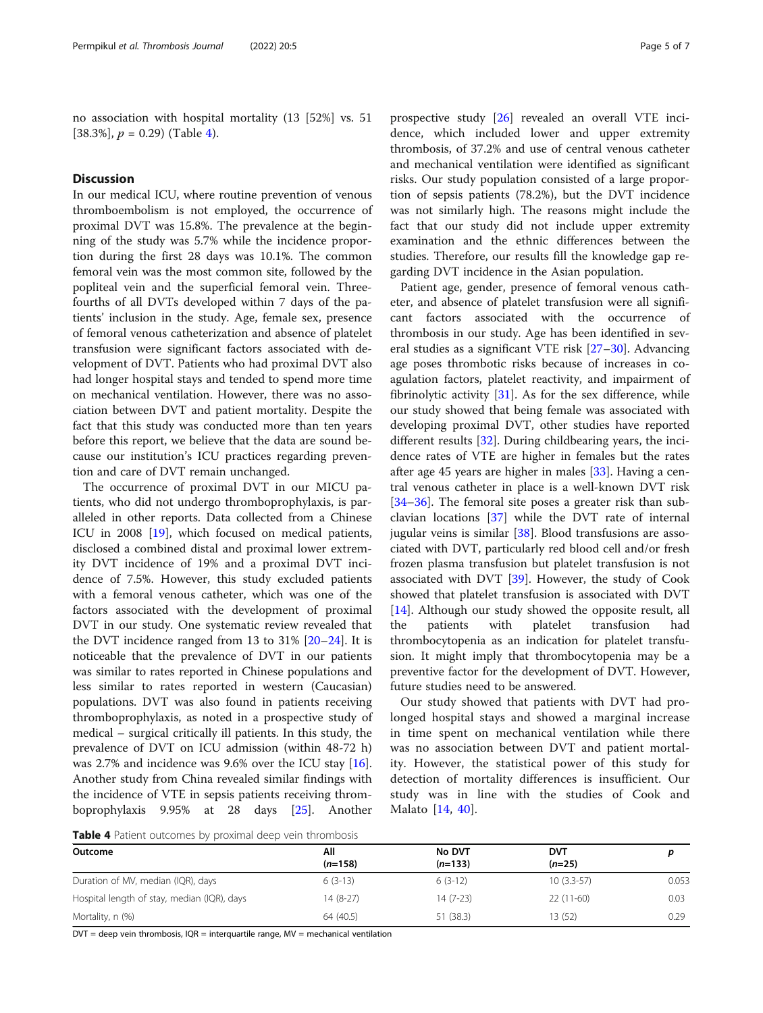no association with hospital mortality (13 [52%] vs. 51 [38.3%],  $p = 0.29$ ) (Table 4).

## **Discussion**

In our medical ICU, where routine prevention of venous thromboembolism is not employed, the occurrence of proximal DVT was 15.8%. The prevalence at the beginning of the study was 5.7% while the incidence proportion during the first 28 days was 10.1%. The common femoral vein was the most common site, followed by the popliteal vein and the superficial femoral vein. Threefourths of all DVTs developed within 7 days of the patients' inclusion in the study. Age, female sex, presence of femoral venous catheterization and absence of platelet transfusion were significant factors associated with development of DVT. Patients who had proximal DVT also had longer hospital stays and tended to spend more time on mechanical ventilation. However, there was no association between DVT and patient mortality. Despite the fact that this study was conducted more than ten years before this report, we believe that the data are sound because our institution's ICU practices regarding prevention and care of DVT remain unchanged.

The occurrence of proximal DVT in our MICU patients, who did not undergo thromboprophylaxis, is paralleled in other reports. Data collected from a Chinese ICU in 2008 [\[19\]](#page-6-0), which focused on medical patients, disclosed a combined distal and proximal lower extremity DVT incidence of 19% and a proximal DVT incidence of 7.5%. However, this study excluded patients with a femoral venous catheter, which was one of the factors associated with the development of proximal DVT in our study. One systematic review revealed that the DVT incidence ranged from 13 to 31% [\[20](#page-6-0)–[24\]](#page-6-0). It is noticeable that the prevalence of DVT in our patients was similar to rates reported in Chinese populations and less similar to rates reported in western (Caucasian) populations. DVT was also found in patients receiving thromboprophylaxis, as noted in a prospective study of medical – surgical critically ill patients. In this study, the prevalence of DVT on ICU admission (within 48-72 h) was 2.7% and incidence was 9.6% over the ICU stay [\[16](#page-6-0)]. Another study from China revealed similar findings with the incidence of VTE in sepsis patients receiving thromboprophylaxis 9.95% at 28 days [\[25](#page-6-0)]. Another prospective study [\[26\]](#page-6-0) revealed an overall VTE incidence, which included lower and upper extremity thrombosis, of 37.2% and use of central venous catheter and mechanical ventilation were identified as significant risks. Our study population consisted of a large proportion of sepsis patients (78.2%), but the DVT incidence was not similarly high. The reasons might include the fact that our study did not include upper extremity examination and the ethnic differences between the studies. Therefore, our results fill the knowledge gap regarding DVT incidence in the Asian population.

Patient age, gender, presence of femoral venous catheter, and absence of platelet transfusion were all significant factors associated with the occurrence of thrombosis in our study. Age has been identified in several studies as a significant VTE risk [\[27](#page-6-0)–[30\]](#page-6-0). Advancing age poses thrombotic risks because of increases in coagulation factors, platelet reactivity, and impairment of fibrinolytic activity  $[31]$  $[31]$ . As for the sex difference, while our study showed that being female was associated with developing proximal DVT, other studies have reported different results [\[32\]](#page-6-0). During childbearing years, the incidence rates of VTE are higher in females but the rates after age 45 years are higher in males [\[33](#page-6-0)]. Having a central venous catheter in place is a well-known DVT risk [[34](#page-6-0)–[36](#page-6-0)]. The femoral site poses a greater risk than subclavian locations [\[37](#page-6-0)] while the DVT rate of internal jugular veins is similar [\[38\]](#page-6-0). Blood transfusions are associated with DVT, particularly red blood cell and/or fresh frozen plasma transfusion but platelet transfusion is not associated with DVT [[39\]](#page-6-0). However, the study of Cook showed that platelet transfusion is associated with DVT [[14\]](#page-5-0). Although our study showed the opposite result, all the patients with platelet transfusion had thrombocytopenia as an indication for platelet transfusion. It might imply that thrombocytopenia may be a preventive factor for the development of DVT. However, future studies need to be answered.

Our study showed that patients with DVT had prolonged hospital stays and showed a marginal increase in time spent on mechanical ventilation while there was no association between DVT and patient mortality. However, the statistical power of this study for detection of mortality differences is insufficient. Our study was in line with the studies of Cook and Malato [\[14](#page-5-0), [40](#page-6-0)].

Table 4 Patient outcomes by proximal deep vein thrombosis

| Outcome                                     | All<br>$(n=158)$ | <b>No DVT</b><br>$(n=133)$ | DVT<br>$(n=25)$ |       |  |
|---------------------------------------------|------------------|----------------------------|-----------------|-------|--|
| Duration of MV, median (IQR), days          | $6(3-13)$        | $6(3-12)$                  | $10(3.3-57)$    | 0.053 |  |
| Hospital length of stay, median (IQR), days | $14(8-27)$       | 14 (7-23)                  | $22(11-60)$     | 0.03  |  |
| Mortality, n (%)                            | 64 (40.5)        | 51 (38.3)                  | 13 (52)         | 0.29  |  |

 $DVT = deep$  vein thrombosis,  $IQR = interquartile range$ ,  $MV = mechanical$  ventilation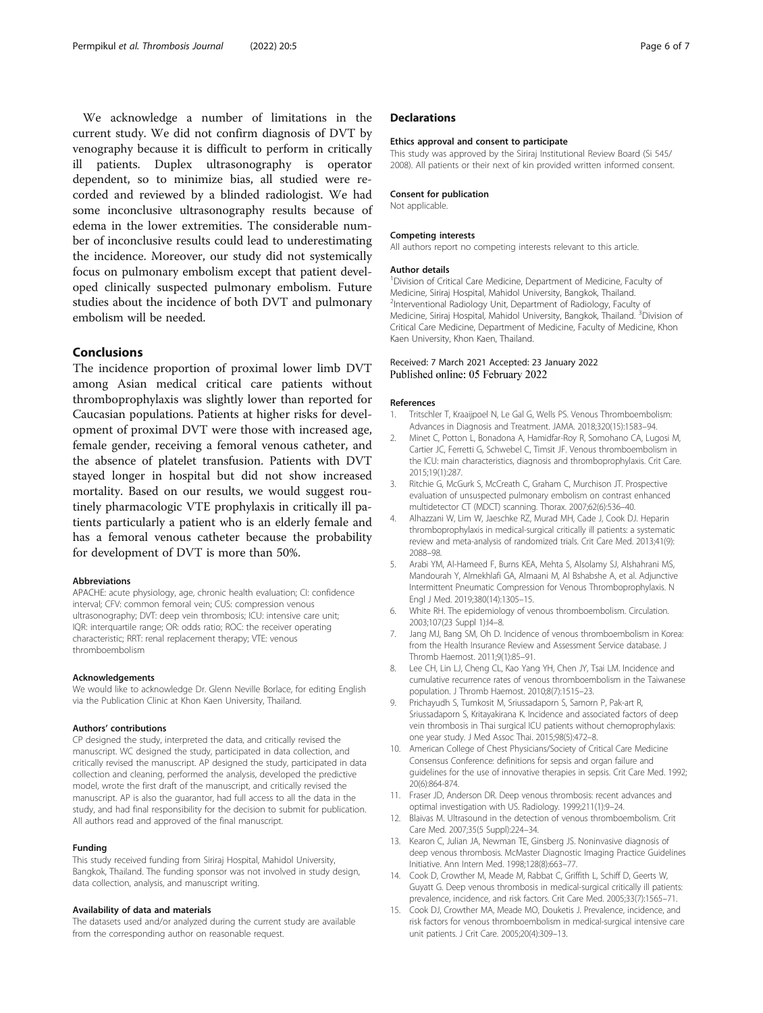<span id="page-5-0"></span>We acknowledge a number of limitations in the current study. We did not confirm diagnosis of DVT by venography because it is difficult to perform in critically ill patients. Duplex ultrasonography is operator dependent, so to minimize bias, all studied were recorded and reviewed by a blinded radiologist. We had some inconclusive ultrasonography results because of edema in the lower extremities. The considerable number of inconclusive results could lead to underestimating the incidence. Moreover, our study did not systemically focus on pulmonary embolism except that patient developed clinically suspected pulmonary embolism. Future studies about the incidence of both DVT and pulmonary embolism will be needed.

## Conclusions

The incidence proportion of proximal lower limb DVT among Asian medical critical care patients without thromboprophylaxis was slightly lower than reported for Caucasian populations. Patients at higher risks for development of proximal DVT were those with increased age, female gender, receiving a femoral venous catheter, and the absence of platelet transfusion. Patients with DVT stayed longer in hospital but did not show increased mortality. Based on our results, we would suggest routinely pharmacologic VTE prophylaxis in critically ill patients particularly a patient who is an elderly female and has a femoral venous catheter because the probability for development of DVT is more than 50%.

#### Abbreviations

APACHE: acute physiology, age, chronic health evaluation; CI: confidence interval; CFV: common femoral vein; CUS: compression venous ultrasonography; DVT: deep vein thrombosis; ICU: intensive care unit; IQR: interquartile range; OR: odds ratio; ROC: the receiver operating characteristic; RRT: renal replacement therapy; VTE: venous thromboembolism

#### Acknowledgements

We would like to acknowledge Dr. Glenn Neville Borlace, for editing English via the Publication Clinic at Khon Kaen University, Thailand.

#### Authors' contributions

CP designed the study, interpreted the data, and critically revised the manuscript. WC designed the study, participated in data collection, and critically revised the manuscript. AP designed the study, participated in data collection and cleaning, performed the analysis, developed the predictive model, wrote the first draft of the manuscript, and critically revised the manuscript. AP is also the guarantor, had full access to all the data in the study, and had final responsibility for the decision to submit for publication. All authors read and approved of the final manuscript.

#### Funding

This study received funding from Siriraj Hospital, Mahidol University, Bangkok, Thailand. The funding sponsor was not involved in study design, data collection, analysis, and manuscript writing.

#### Availability of data and materials

The datasets used and/or analyzed during the current study are available from the corresponding author on reasonable request.

### **Declarations**

#### Ethics approval and consent to participate

This study was approved by the Siriraj Institutional Review Board (Si 545/ 2008). All patients or their next of kin provided written informed consent.

#### Consent for publication

Not applicable.

#### Competing interests

All authors report no competing interests relevant to this article.

#### Author details

<sup>1</sup> Division of Critical Care Medicine, Department of Medicine, Faculty of Medicine, Siriraj Hospital, Mahidol University, Bangkok, Thailand. 2 Interventional Radiology Unit, Department of Radiology, Faculty of Medicine, Siriraj Hospital, Mahidol University, Bangkok, Thailand. <sup>3</sup>Division of Critical Care Medicine, Department of Medicine, Faculty of Medicine, Khon Kaen University, Khon Kaen, Thailand.

#### Received: 7 March 2021 Accepted: 23 January 2022 Published online: 05 February 2022

#### References

- 1. Tritschler T, Kraaijpoel N, Le Gal G, Wells PS. Venous Thromboembolism: Advances in Diagnosis and Treatment. JAMA. 2018;320(15):1583–94.
- 2. Minet C, Potton L, Bonadona A, Hamidfar-Roy R, Somohano CA, Lugosi M, Cartier JC, Ferretti G, Schwebel C, Timsit JF. Venous thromboembolism in the ICU: main characteristics, diagnosis and thromboprophylaxis. Crit Care. 2015;19(1):287.
- 3. Ritchie G, McGurk S, McCreath C, Graham C, Murchison JT. Prospective evaluation of unsuspected pulmonary embolism on contrast enhanced multidetector CT (MDCT) scanning. Thorax. 2007;62(6):536–40.
- 4. Alhazzani W, Lim W, Jaeschke RZ, Murad MH, Cade J, Cook DJ. Heparin thromboprophylaxis in medical-surgical critically ill patients: a systematic review and meta-analysis of randomized trials. Crit Care Med. 2013;41(9): 2088–98.
- 5. Arabi YM, Al-Hameed F, Burns KEA, Mehta S, Alsolamy SJ, Alshahrani MS, Mandourah Y, Almekhlafi GA, Almaani M, Al Bshabshe A, et al. Adjunctive Intermittent Pneumatic Compression for Venous Thromboprophylaxis. N Engl J Med. 2019;380(14):1305–15.
- 6. White RH. The epidemiology of venous thromboembolism. Circulation. 2003;107(23 Suppl 1):I4–8.
- 7. Jang MJ, Bang SM, Oh D. Incidence of venous thromboembolism in Korea: from the Health Insurance Review and Assessment Service database. J Thromb Haemost. 2011;9(1):85–91.
- Lee CH, Lin LJ, Cheng CL, Kao Yang YH, Chen JY, Tsai LM. Incidence and cumulative recurrence rates of venous thromboembolism in the Taiwanese population. J Thromb Haemost. 2010;8(7):1515–23.
- 9. Prichayudh S, Tumkosit M, Sriussadaporn S, Samorn P, Pak-art R, Sriussadaporn S, Kritayakirana K. Incidence and associated factors of deep vein thrombosis in Thai surgical ICU patients without chemoprophylaxis: one year study. J Med Assoc Thai. 2015;98(5):472–8.
- 10. American College of Chest Physicians/Society of Critical Care Medicine Consensus Conference: definitions for sepsis and organ failure and guidelines for the use of innovative therapies in sepsis. Crit Care Med. 1992; 20(6):864-874.
- 11. Fraser JD, Anderson DR. Deep venous thrombosis: recent advances and optimal investigation with US. Radiology. 1999;211(1):9–24.
- 12. Blaivas M. Ultrasound in the detection of venous thromboembolism. Crit Care Med. 2007;35(5 Suppl):224–34.
- 13. Kearon C, Julian JA, Newman TE, Ginsberg JS. Noninvasive diagnosis of deep venous thrombosis. McMaster Diagnostic Imaging Practice Guidelines Initiative. Ann Intern Med. 1998;128(8):663–77.
- 14. Cook D, Crowther M, Meade M, Rabbat C, Griffith L, Schiff D, Geerts W, Guyatt G. Deep venous thrombosis in medical-surgical critically ill patients: prevalence, incidence, and risk factors. Crit Care Med. 2005;33(7):1565–71.
- 15. Cook DJ, Crowther MA, Meade MO, Douketis J. Prevalence, incidence, and risk factors for venous thromboembolism in medical-surgical intensive care unit patients. J Crit Care. 2005;20(4):309–13.